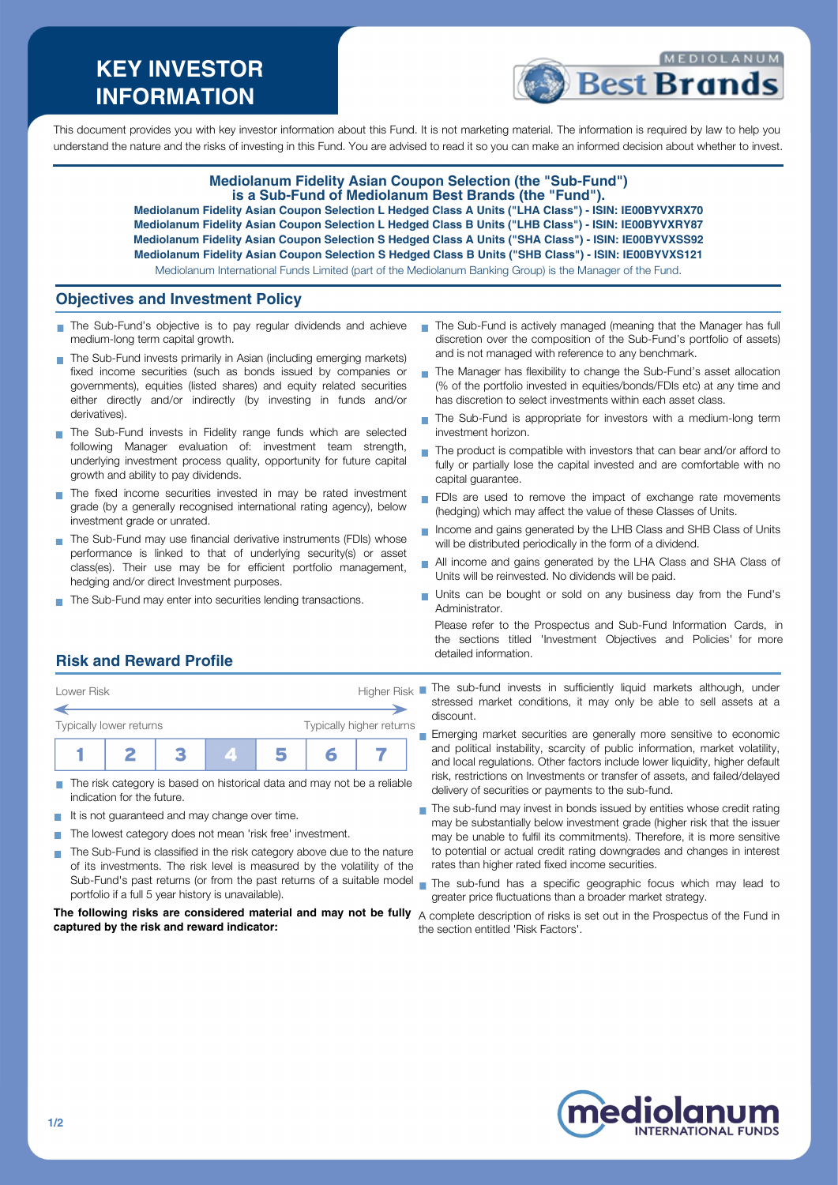# **KEY INVESTOR INFORMATION**



This document provides you with key investor information about this Fund. It is not marketing material. The information is required by law to help you understand the nature and the risks of investing in this Fund. You are advised to read it so you can make an informed decision about whether to invest.

### **Mediolanum Fidelity Asian Coupon Selection (the "Sub-Fund") is a Sub-Fund of Mediolanum Best Brands (the "Fund").**

**Mediolanum Fidelity Asian Coupon Selection L Hedged Class A Units ("LHA Class") - ISIN: IE00BYVXRX70 Mediolanum Fidelity Asian Coupon Selection L Hedged Class B Units ("LHB Class") - ISIN: IE00BYVXRY87 Mediolanum Fidelity Asian Coupon Selection S Hedged Class A Units ("SHA Class") - ISIN: IE00BYVXSS92 Mediolanum Fidelity Asian Coupon Selection S Hedged Class B Units ("SHB Class") - ISIN: IE00BYVXS121**

Mediolanum International Funds Limited (part of the Mediolanum Banking Group) is the Manager of the Fund.

#### **Objectives and Investment Policy**

- The Sub-Fund's objective is to pay regular dividends and achieve medium-long term capital growth.
- The Sub-Fund invests primarily in Asian (including emerging markets) fixed income securities (such as bonds issued by companies or governments), equities (listed shares) and equity related securities either directly and/or indirectly (by investing in funds and/or derivatives).
- The Sub-Fund invests in Fidelity range funds which are selected following Manager evaluation of: investment team strength, underlying investment process quality, opportunity for future capital growth and ability to pay dividends.
- The fixed income securities invested in may be rated investment grade (by a generally recognised international rating agency), below investment grade or unrated.
- The Sub-Fund may use financial derivative instruments (FDIs) whose performance is linked to that of underlying security(s) or asset class(es). Their use may be for efficient portfolio management, hedging and/or direct Investment purposes.
- The Sub-Fund may enter into securities lending transactions.
- The Sub-Fund is actively managed (meaning that the Manager has full discretion over the composition of the Sub-Fund's portfolio of assets) and is not managed with reference to any benchmark.
- The Manager has flexibility to change the Sub-Fund's asset allocation m, (% of the portfolio invested in equities/bonds/FDIs etc) at any time and has discretion to select investments within each asset class.
- The Sub-Fund is appropriate for investors with a medium-long term investment horizon.
- The product is compatible with investors that can bear and/or afford to  $\overline{\phantom{a}}$ fully or partially lose the capital invested and are comfortable with no capital guarantee.
- FDIs are used to remove the impact of exchange rate movements (hedging) which may affect the value of these Classes of Units.
- Income and gains generated by the LHB Class and SHB Class of Units П will be distributed periodically in the form of a dividend.
- All income and gains generated by the LHA Class and SHA Class of Units will be reinvested. No dividends will be paid.
- Units can be bought or sold on any business day from the Fund's Administrator.

Please refer to the Prospectus and Sub-Fund Information Cards, in the sections titled 'Investment Objectives and Policies' for more detailed information.

## **Risk and Reward Profile**



- The risk category is based on historical data and may not be a reliable  $\overline{\phantom{a}}$ indication for the future.
- It is not guaranteed and may change over time.
- The lowest category does not mean 'risk free' investment.  $\sim$
- The Sub-Fund is classified in the risk category above due to the nature of its investments. The risk level is measured by the volatility of the portfolio if a full 5 year history is unavailable).

**The following risks are considered material and may not be fully** A complete description of risks is set out in the Prospectus of the Fund in **captured by the risk and reward indicator:**

- Lower Risk **Higher Risk** The sub-fund invests in sufficiently liquid markets although, under stressed market conditions, it may only be able to sell assets at a discount.
	- Emerging market securities are generally more sensitive to economic and political instability, scarcity of public information, market volatility, and local regulations. Other factors include lower liquidity, higher default risk, restrictions on Investments or transfer of assets, and failed/delayed delivery of securities or payments to the sub-fund.
	- The sub-fund may invest in bonds issued by entities whose credit rating may be substantially below investment grade (higher risk that the issuer may be unable to fulfil its commitments). Therefore, it is more sensitive to potential or actual credit rating downgrades and changes in interest rates than higher rated fixed income securities.
	- Sub-Fund's past returns (or from the past returns of a suitable model wind has a specific geographic focus which may lead to greater price fluctuations than a broader market strategy.
		- the section entitled 'Risk Factors'.